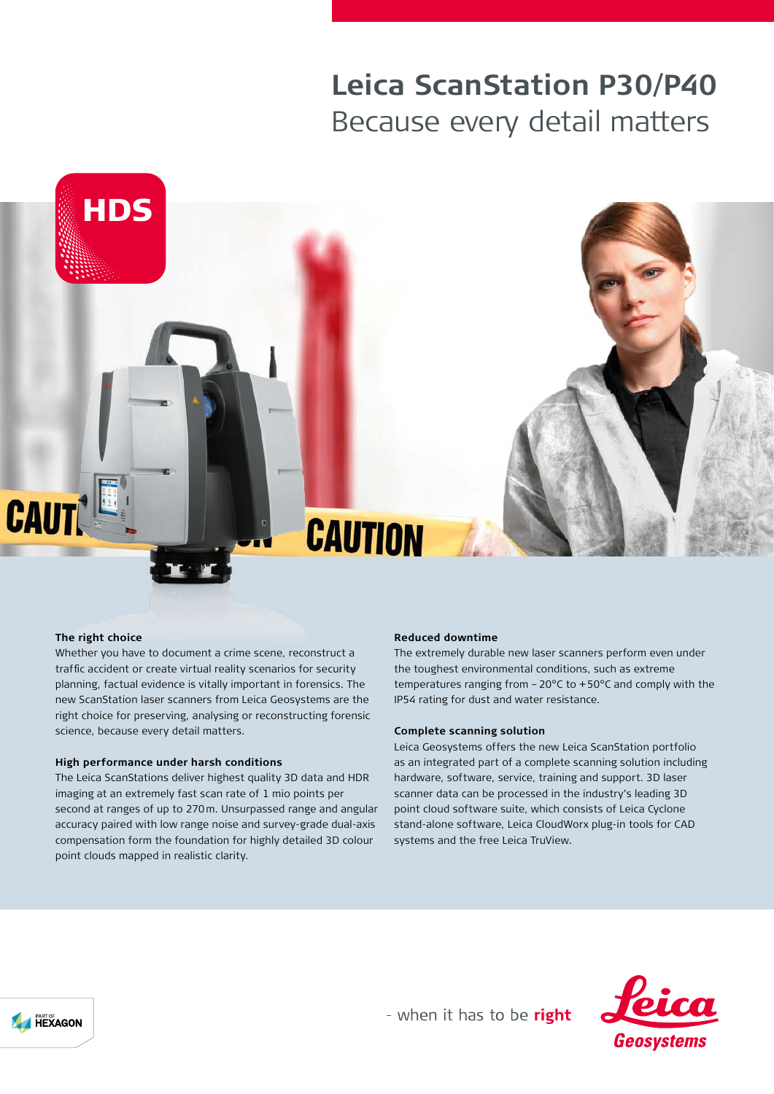# **Leica ScanStation P30/P40** Because every detail matters



#### **The right choice**

Whether you have to document a crime scene, reconstruct a traffic accident or create virtual reality scenarios for security planning, factual evidence is vitally important in forensics. The new ScanStation laser scanners from Leica Geosystems are the right choice for preserving, analysing or reconstructing forensic science, because every detail matters.

#### **High performance under harsh conditions**

The Leica ScanStations deliver highest quality 3D data and HDR imaging at an extremely fast scan rate of 1 mio points per second at ranges of up to 270m. Unsurpassed range and angular accuracy paired with low range noise and survey-grade dual-axis compensation form the foundation for highly detailed 3D colour point clouds mapped in realistic clarity.

#### **Reduced downtime**

The extremely durable new laser scanners perform even under the toughest environmental conditions, such as extreme temperatures ranging from –20°C to +50°C and comply with the IP54 rating for dust and water resistance.

#### **Complete scanning solution**

Leica Geosystems offers the new Leica ScanStation portfolio as an integrated part of a complete scanning solution including hardware, software, service, training and support. 3D laser scanner data can be processed in the industry's leading 3D point cloud software suite, which consists of Leica Cyclone stand-alone software, Leica CloudWorx plug-in tools for CAD systems and the free Leica TruView.



- when it has to be right